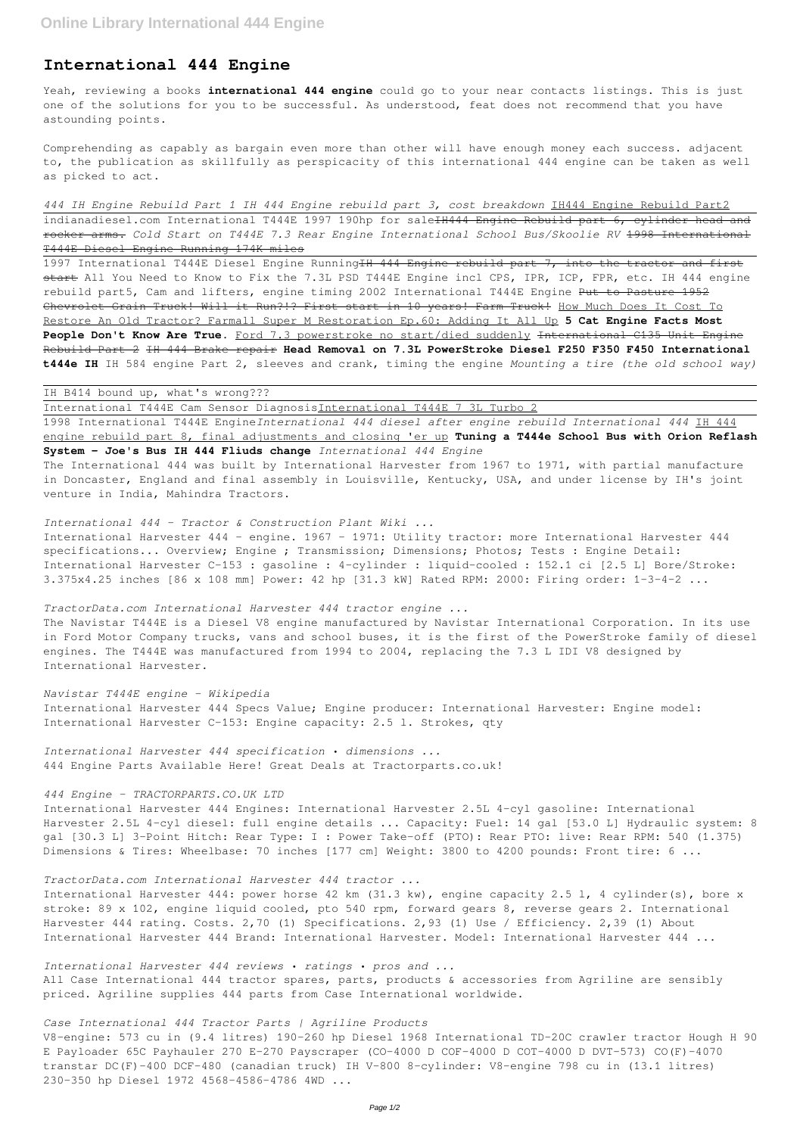# **International 444 Engine**

Yeah, reviewing a books **international 444 engine** could go to your near contacts listings. This is just one of the solutions for you to be successful. As understood, feat does not recommend that you have astounding points.

Comprehending as capably as bargain even more than other will have enough money each success. adjacent to, the publication as skillfully as perspicacity of this international 444 engine can be taken as well as picked to act.

*444 IH Engine Rebuild Part 1 IH 444 Engine rebuild part 3, cost breakdown* IH444 Engine Rebuild Part2 indianadiesel.com International T444E 1997 190hp for sale<del>IH444 Engine Rebuild part 6, cylinder head and</del> rocker arms. *Cold Start on T444E 7.3 Rear Engine International School Bus/Skoolie RV* 1998 International T444E Diesel Engine Running 174K miles

1997 International T444E Diesel Engine RunningIH 444 Engine rebuild part 7, into the tractor and first start All You Need to Know to Fix the 7.3L PSD T444E Engine incl CPS, IPR, ICP, FPR, etc. IH 444 engine rebuild part5, Cam and lifters, engine timing 2002 International T444E Engine Put to Pasture 1952 Chevrolet Grain Truck! Will it Run?!? First start in 10 years! Farm Truck! How Much Does It Cost To Restore An Old Tractor? Farmall Super M Restoration Ep.60: Adding It All Up **5 Cat Engine Facts Most People Don't Know Are True.** Ford 7.3 powerstroke no start/died suddenly International C135 Unit Engine Rebuild Part 2 IH 444 Brake repair **Head Removal on 7.3L PowerStroke Diesel F250 F350 F450 International t444e IH** IH 584 engine Part 2, sleeves and crank, timing the engine *Mounting a tire (the old school way)*

# IH B414 bound up, what's wrong???

International T444E Cam Sensor DiagnosisInternational T444E 7 3L Turbo 2

International Harvester 444 Engines: International Harvester 2.5L 4-cyl gasoline: International Harvester 2.5L 4-cyl diesel: full engine details ... Capacity: Fuel: 14 gal [53.0 L] Hydraulic system: 8 gal [30.3 L] 3-Point Hitch: Rear Type: I : Power Take-off (PTO): Rear PTO: live: Rear RPM: 540 (1.375) Dimensions & Tires: Wheelbase: 70 inches [177 cm] Weight: 3800 to 4200 pounds: Front tire: 6 ...

1998 International T444E Engine*International 444 diesel after engine rebuild International 444* IH 444 engine rebuild part 8, final adjustments and closing 'er up **Tuning a T444e School Bus with Orion Reflash System - Joe's Bus IH 444 Fliuds change** *International 444 Engine*

The International 444 was built by International Harvester from 1967 to 1971, with partial manufacture in Doncaster, England and final assembly in Louisville, Kentucky, USA, and under license by IH's joint venture in India, Mahindra Tractors.

#### *International 444 - Tractor & Construction Plant Wiki ...*

International Harvester 444 - engine. 1967 - 1971: Utility tractor: more International Harvester 444 specifications... Overview; Engine ; Transmission; Dimensions; Photos; Tests : Engine Detail: International Harvester C-153 : gasoline : 4-cylinder : liquid-cooled : 152.1 ci [2.5 L] Bore/Stroke: 3.375x4.25 inches [86 x 108 mm] Power: 42 hp [31.3 kW] Rated RPM: 2000: Firing order: 1-3-4-2 ...

## *TractorData.com International Harvester 444 tractor engine ...*

The Navistar T444E is a Diesel V8 engine manufactured by Navistar International Corporation. In its use in Ford Motor Company trucks, vans and school buses, it is the first of the PowerStroke family of diesel engines. The T444E was manufactured from 1994 to 2004, replacing the 7.3 L IDI V8 designed by International Harvester.

#### *Navistar T444E engine - Wikipedia*

International Harvester 444 Specs Value; Engine producer: International Harvester: Engine model: International Harvester C-153: Engine capacity: 2.5 l. Strokes, qty

*International Harvester 444 specification • dimensions ...* 444 Engine Parts Available Here! Great Deals at Tractorparts.co.uk!

## *444 Engine - TRACTORPARTS.CO.UK LTD*

*TractorData.com International Harvester 444 tractor ...*

International Harvester 444: power horse 42 km (31.3 kw), engine capacity 2.5 l, 4 cylinder(s), bore x stroke: 89 x 102, engine liquid cooled, pto 540 rpm, forward gears 8, reverse gears 2. International Harvester 444 rating. Costs. 2,70 (1) Specifications. 2,93 (1) Use / Efficiency. 2,39 (1) About International Harvester 444 Brand: International Harvester. Model: International Harvester 444 ...

*International Harvester 444 reviews • ratings • pros and ...*

All Case International 444 tractor spares, parts, products & accessories from Agriline are sensibly priced. Agriline supplies 444 parts from Case International worldwide.

*Case International 444 Tractor Parts | Agriline Products*

V8-engine: 573 cu in (9.4 litres) 190-260 hp Diesel 1968 International TD-20C crawler tractor Hough H 90 E Payloader 65C Payhauler 270 E-270 Payscraper (CO-4000 D COF-4000 D COT-4000 D DVT-573) CO(F)-4070 transtar DC(F)-400 DCF-480 (canadian truck) IH V-800 8-cylinder: V8-engine 798 cu in (13.1 litres) 230-350 hp Diesel 1972 4568-4586-4786 4WD ...